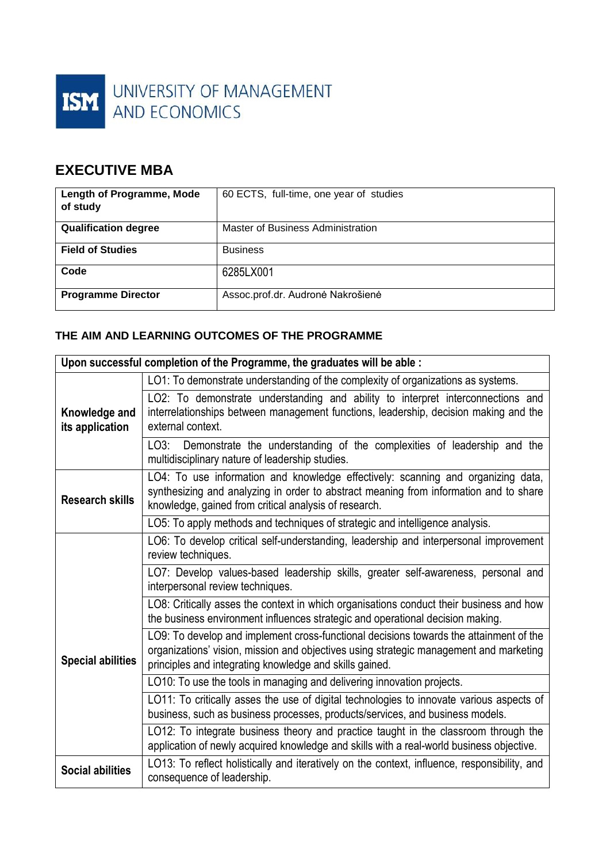

# **EXECUTIVE MBA**

| <b>Length of Programme, Mode</b><br>of study | 60 ECTS, full-time, one year of studies |
|----------------------------------------------|-----------------------------------------|
| <b>Qualification degree</b>                  | Master of Business Administration       |
| <b>Field of Studies</b>                      | <b>Business</b>                         |
| Code                                         | 6285LX001                               |
| <b>Programme Director</b>                    | Assoc.prof.dr. Audronė Nakrošienė       |

### **THE AIM AND LEARNING OUTCOMES OF THE PROGRAMME**

| Upon successful completion of the Programme, the graduates will be able : |                                                                                                                                                                                                                                             |  |
|---------------------------------------------------------------------------|---------------------------------------------------------------------------------------------------------------------------------------------------------------------------------------------------------------------------------------------|--|
|                                                                           | LO1: To demonstrate understanding of the complexity of organizations as systems.                                                                                                                                                            |  |
| Knowledge and<br>its application                                          | LO2: To demonstrate understanding and ability to interpret interconnections and<br>interrelationships between management functions, leadership, decision making and the<br>external context.                                                |  |
|                                                                           | LO3: Demonstrate the understanding of the complexities of leadership and the<br>multidisciplinary nature of leadership studies.                                                                                                             |  |
| <b>Research skills</b>                                                    | LO4: To use information and knowledge effectively: scanning and organizing data,<br>synthesizing and analyzing in order to abstract meaning from information and to share<br>knowledge, gained from critical analysis of research.          |  |
|                                                                           | LO5: To apply methods and techniques of strategic and intelligence analysis.                                                                                                                                                                |  |
|                                                                           | LO6: To develop critical self-understanding, leadership and interpersonal improvement<br>review techniques.                                                                                                                                 |  |
|                                                                           | LO7: Develop values-based leadership skills, greater self-awareness, personal and<br>interpersonal review techniques.                                                                                                                       |  |
|                                                                           | LO8: Critically asses the context in which organisations conduct their business and how<br>the business environment influences strategic and operational decision making.                                                                   |  |
| <b>Special abilities</b>                                                  | LO9: To develop and implement cross-functional decisions towards the attainment of the<br>organizations' vision, mission and objectives using strategic management and marketing<br>principles and integrating knowledge and skills gained. |  |
|                                                                           | LO10: To use the tools in managing and delivering innovation projects.                                                                                                                                                                      |  |
|                                                                           | LO11: To critically asses the use of digital technologies to innovate various aspects of<br>business, such as business processes, products/services, and business models.                                                                   |  |
|                                                                           | LO12: To integrate business theory and practice taught in the classroom through the<br>application of newly acquired knowledge and skills with a real-world business objective.                                                             |  |
| <b>Social abilities</b>                                                   | LO13: To reflect holistically and iteratively on the context, influence, responsibility, and<br>consequence of leadership.                                                                                                                  |  |